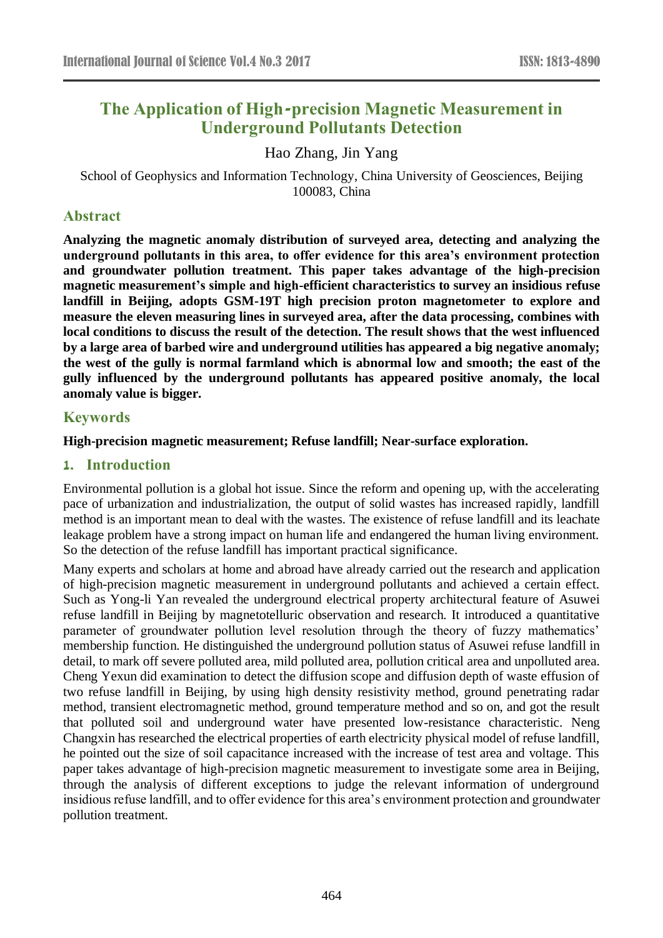# **The Application of High-precision Magnetic Measurement in Underground Pollutants Detection**

Hao Zhang, Jin Yang

School of Geophysics and Information Technology, China University of Geosciences, Beijing 100083, China

### **Abstract**

**Analyzing the magnetic anomaly distribution of surveyed area, detecting and analyzing the underground pollutants in this area, to offer evidence for this area's environment protection and groundwater pollution treatment. This paper takes advantage of the high-precision magnetic measurement's simple and high-efficient characteristics to survey an insidious refuse landfill in Beijing, adopts GSM-19T high precision proton magnetometer to explore and measure the eleven measuring lines in surveyed area, after the data processing, combines with local conditions to discuss the result of the detection. The result shows that the west influenced by a large area of barbed wire and underground utilities has appeared a big negative anomaly; the west of the gully is normal farmland which is abnormal low and smooth; the east of the gully influenced by the underground pollutants has appeared positive anomaly, the local anomaly value is bigger.**

## **Keywords**

### **High-precision magnetic measurement; Refuse landfill; Near-surface exploration.**

### **1. Introduction**

Environmental pollution is a global hot issue. Since the reform and opening up, with the accelerating pace of urbanization and industrialization, the output of solid wastes has increased rapidly, landfill method is an important mean to deal with the wastes. The existence of refuse landfill and its leachate leakage problem have a strong impact on human life and endangered the human living environment. So the detection of the refuse landfill has important practical significance.

Many experts and scholars at home and abroad have already carried out the research and application of high-precision magnetic measurement in underground pollutants and achieved a certain effect. Such as Yong-li Yan revealed the underground electrical property architectural feature of Asuwei refuse landfill in Beijing by magnetotelluric observation and research. It introduced a quantitative parameter of groundwater pollution level resolution through the theory of fuzzy mathematics' membership function. He distinguished the underground pollution status of Asuwei refuse landfill in detail, to mark off severe polluted area, mild polluted area, pollution critical area and unpolluted area. Cheng Yexun did examination to detect the diffusion scope and diffusion depth of waste effusion of two refuse landfill in Beijing, by using high density resistivity method, ground penetrating radar method, transient electromagnetic method, ground temperature method and so on, and got the result that polluted soil and underground water have presented low-resistance characteristic. Neng Changxin has researched the electrical properties of earth electricity physical model of refuse landfill, he pointed out the size of soil capacitance increased with the increase of test area and voltage. This paper takes advantage of high-precision magnetic measurement to investigate some area in Beijing, through the analysis of different exceptions to judge the relevant information of underground insidious refuse landfill, and to offer evidence for this area's environment protection and groundwater pollution treatment.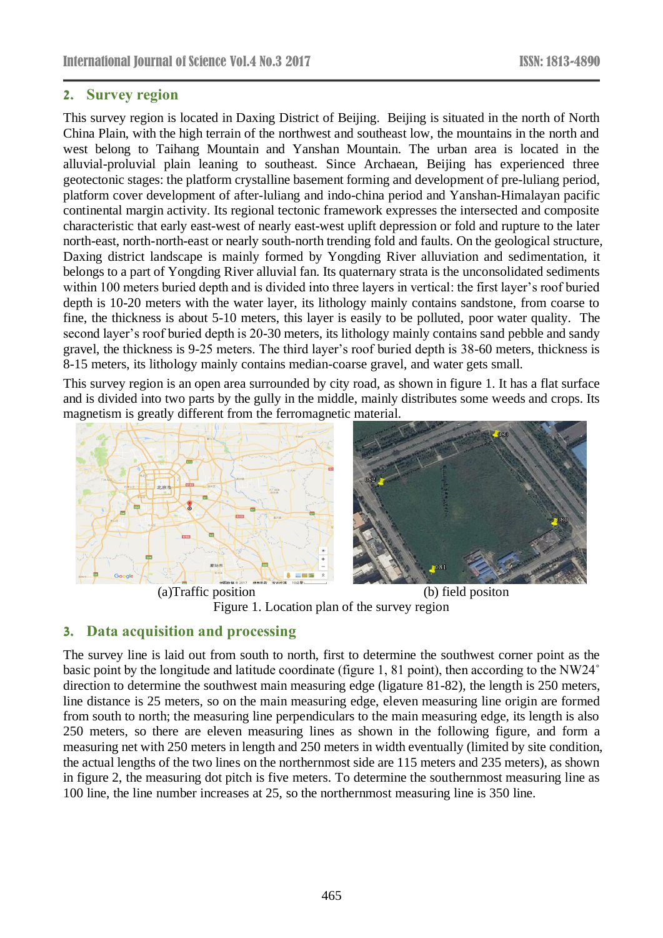## **2. Survey region**

This survey region is located in Daxing District of Beijing. Beijing is situated in the north of North China Plain, with the high terrain of the northwest and southeast low, the mountains in the north and west belong to Taihang Mountain and Yanshan Mountain. The urban area is located in the alluvial-proluvial plain leaning to southeast. Since Archaean, Beijing has experienced three geotectonic stages: the platform crystalline basement forming and development of pre-luliang period, platform cover development of after-luliang and indo-china period and Yanshan-Himalayan pacific continental margin activity. Its regional tectonic framework expresses the intersected and composite characteristic that early east-west of nearly east-west uplift depression or fold and rupture to the later north-east, north-north-east or nearly south-north trending fold and faults. On the geological structure, Daxing district landscape is mainly formed by Yongding River alluviation and sedimentation, it belongs to a part of Yongding River alluvial fan. Its quaternary strata is the unconsolidated sediments within 100 meters buried depth and is divided into three layers in vertical: the first layer's roof buried depth is 10-20 meters with the water layer, its lithology mainly contains sandstone, from coarse to fine, the thickness is about 5-10 meters, this layer is easily to be polluted, poor water quality. The second layer's roof buried depth is 20-30 meters, its lithology mainly contains sand pebble and sandy gravel, the thickness is 9-25 meters. The third layer's roof buried depth is 38-60 meters, thickness is 8-15 meters, its lithology mainly contains median-coarse gravel, and water gets small.

This survey region is an open area surrounded by city road, as shown in figure 1. It has a flat surface and is divided into two parts by the gully in the middle, mainly distributes some weeds and crops. Its magnetism is greatly different from the ferromagnetic material.



Figure 1. Location plan of the survey region

## **3. Data acquisition and processing**

The survey line is laid out from south to north, first to determine the southwest corner point as the basic point by the longitude and latitude coordinate (figure 1, 81 point), then according to the NW24˚ direction to determine the southwest main measuring edge (ligature 81-82), the length is 250 meters, line distance is 25 meters, so on the main measuring edge, eleven measuring line origin are formed from south to north; the measuring line perpendiculars to the main measuring edge, its length is also 250 meters, so there are eleven measuring lines as shown in the following figure, and form a measuring net with 250 meters in length and 250 meters in width eventually (limited by site condition, the actual lengths of the two lines on the northernmost side are 115 meters and 235 meters), as shown in figure 2, the measuring dot pitch is five meters. To determine the southernmost measuring line as 100 line, the line number increases at 25, so the northernmost measuring line is 350 line.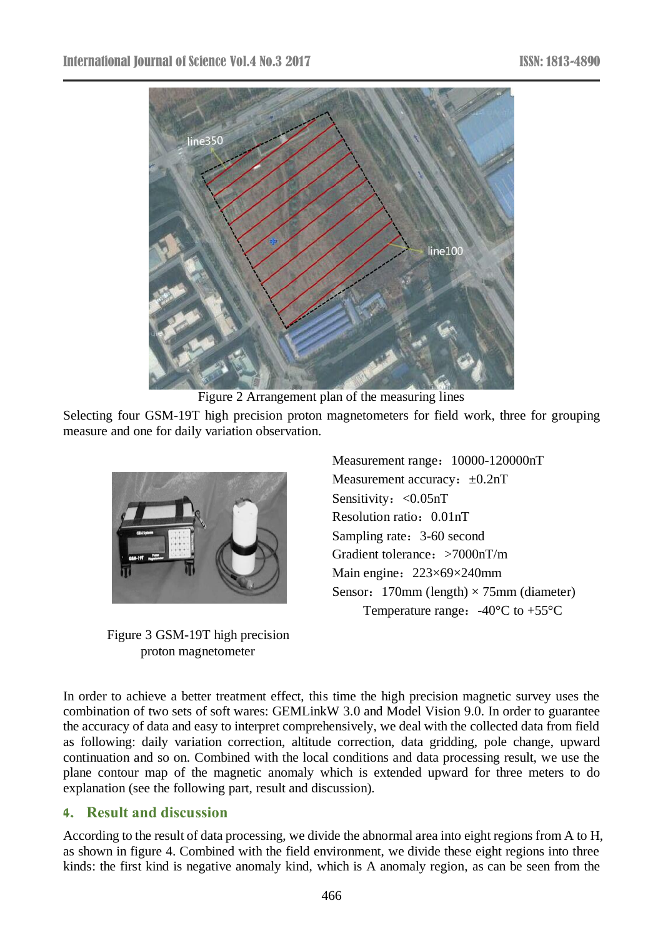

Figure 2 Arrangement plan of the measuring lines

Selecting four GSM-19T high precision proton magnetometers for field work, three for grouping measure and one for daily variation observation.



Figure 3 GSM-19T high precision proton magnetometer

Measurement range:  $10000-120000nT$ Measurement accuracy:  $\pm 0.2nT$ Sensitivity: <0.05nT Resolution ratio: 0.01nT Sampling rate: 3-60 second Gradient tolerance:>7000nT/m Main engine:  $223 \times 69 \times 240$ mm Sensor: 170mm (length)  $\times$  75mm (diameter) Temperature range:  $-40\text{ }^{\circ}\text{C}$  to  $+55\text{ }^{\circ}\text{C}$ 

In order to achieve a better treatment effect, this time the high precision magnetic survey uses the combination of two sets of soft wares: GEMLinkW 3.0 and Model Vision 9.0. In order to guarantee the accuracy of data and easy to interpret comprehensively, we deal with the collected data from field as following: daily variation correction, altitude correction, data gridding, pole change, upward continuation and so on. Combined with the local conditions and data processing result, we use the plane contour map of the magnetic anomaly which is extended upward for three meters to do explanation (see the following part, result and discussion).

# **4. Result and discussion**

According to the result of data processing, we divide the abnormal area into eight regions from A to H, as shown in figure 4. Combined with the field environment, we divide these eight regions into three kinds: the first kind is negative anomaly kind, which is A anomaly region, as can be seen from the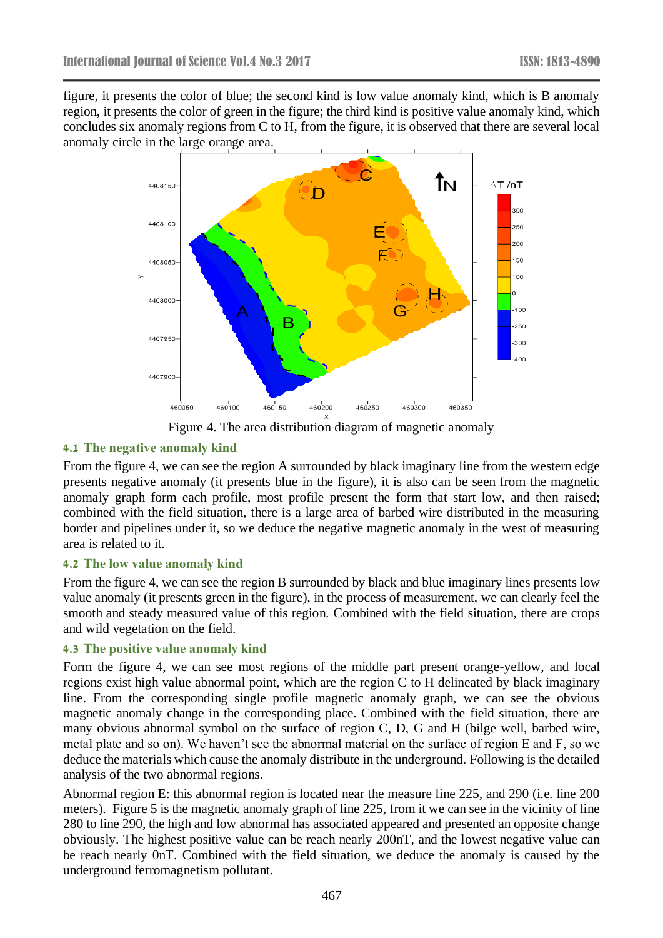figure, it presents the color of blue; the second kind is low value anomaly kind, which is B anomaly region, it presents the color of green in the figure; the third kind is positive value anomaly kind, which concludes six anomaly regions from C to H, from the figure, it is observed that there are several local anomaly circle in the large orange area.



Figure 4. The area distribution diagram of magnetic anomaly

## **4.1 The negative anomaly kind**

From the figure 4, we can see the region A surrounded by black imaginary line from the western edge presents negative anomaly (it presents blue in the figure), it is also can be seen from the magnetic anomaly graph form each profile, most profile present the form that start low, and then raised; combined with the field situation, there is a large area of barbed wire distributed in the measuring border and pipelines under it, so we deduce the negative magnetic anomaly in the west of measuring area is related to it.

### **4.2 The low value anomaly kind**

From the figure 4, we can see the region B surrounded by black and blue imaginary lines presents low value anomaly (it presents green in the figure), in the process of measurement, we can clearly feel the smooth and steady measured value of this region. Combined with the field situation, there are crops and wild vegetation on the field.

## **4.3 The positive value anomaly kind**

Form the figure 4, we can see most regions of the middle part present orange-yellow, and local regions exist high value abnormal point, which are the region C to H delineated by black imaginary line. From the corresponding single profile magnetic anomaly graph, we can see the obvious magnetic anomaly change in the corresponding place. Combined with the field situation, there are many obvious abnormal symbol on the surface of region C, D, G and H (bilge well, barbed wire, metal plate and so on). We haven't see the abnormal material on the surface of region E and F, so we deduce the materials which cause the anomaly distribute in the underground. Following is the detailed analysis of the two abnormal regions.

Abnormal region E: this abnormal region is located near the measure line 225, and 290 (i.e. line 200 meters). Figure 5 is the magnetic anomaly graph of line 225, from it we can see in the vicinity of line 280 to line 290, the high and low abnormal has associated appeared and presented an opposite change obviously. The highest positive value can be reach nearly 200nT, and the lowest negative value can be reach nearly 0nT. Combined with the field situation, we deduce the anomaly is caused by the underground ferromagnetism pollutant.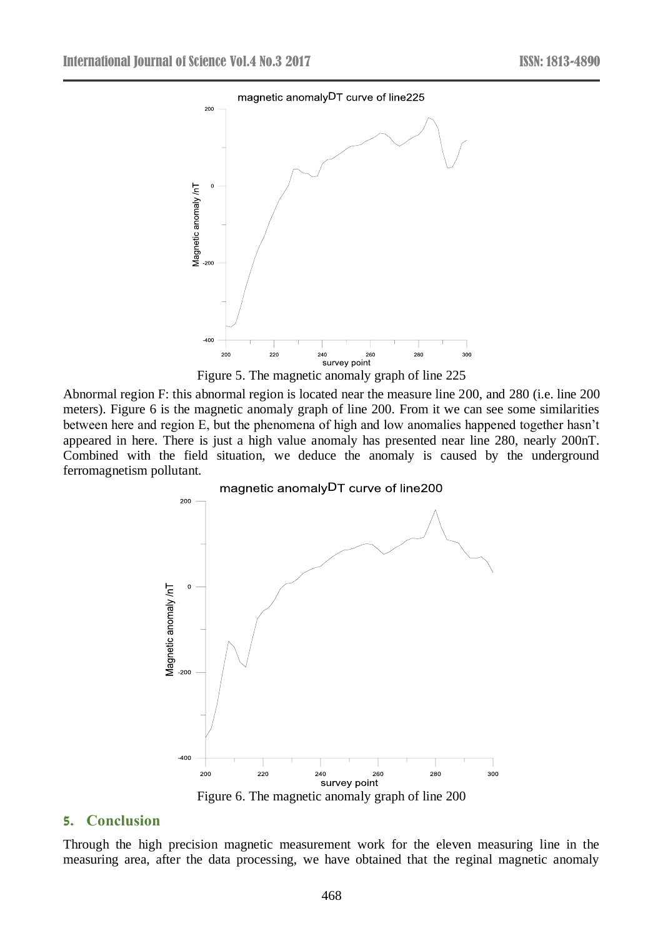

Figure 5. The magnetic anomaly graph of line 225

Abnormal region F: this abnormal region is located near the measure line 200, and 280 (i.e. line 200 meters). Figure 6 is the magnetic anomaly graph of line 200. From it we can see some similarities between here and region E, but the phenomena of high and low anomalies happened together hasn't appeared in here. There is just a high value anomaly has presented near line 280, nearly 200nT. Combined with the field situation, we deduce the anomaly is caused by the underground ferromagnetism pollutant.



Figure 6. The magnetic anomaly graph of line 200

### **5. Conclusion**

Through the high precision magnetic measurement work for the eleven measuring line in the measuring area, after the data processing, we have obtained that the reginal magnetic anomaly